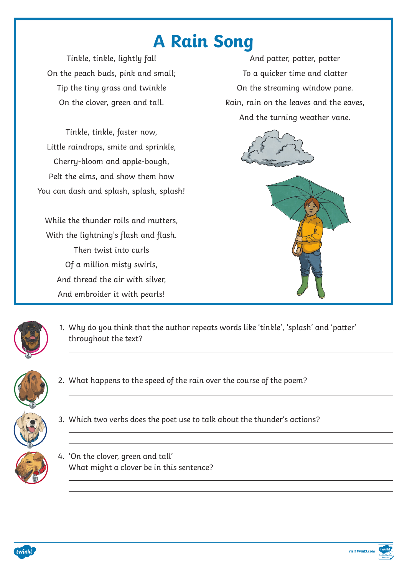## **A Rain Song**

1. Why do you think that the author repeats words like 'tinkle', 'splash' and 'patter' throughout the text?



- 2. What happens to the speed of the rain over the course of the poem?
- 3. Which two verbs does the poet use to talk about the thunder's actions?





## 4. 'On the clover, green and tall'

What might a clover be in this sentence?



visit twinkl.com

Tinkle, tinkle, lightly fall On the peach buds, pink and small; Tip the tiny grass and twinkle On the clover, green and tall.

Tinkle, tinkle, faster now, Little raindrops, smite and sprinkle, Cherry-bloom and apple-bough, Pelt the elms, and show them how You can dash and splash, splash, splash!

While the thunder rolls and mutters, With the lightning's flash and flash. Then twist into curls Of a million misty swirls, And thread the air with silver, And embroider it with pearls!

And patter, patter, patter To a quicker time and clatter On the streaming window pane. Rain, rain on the leaves and the eaves, And the turning weather vane.